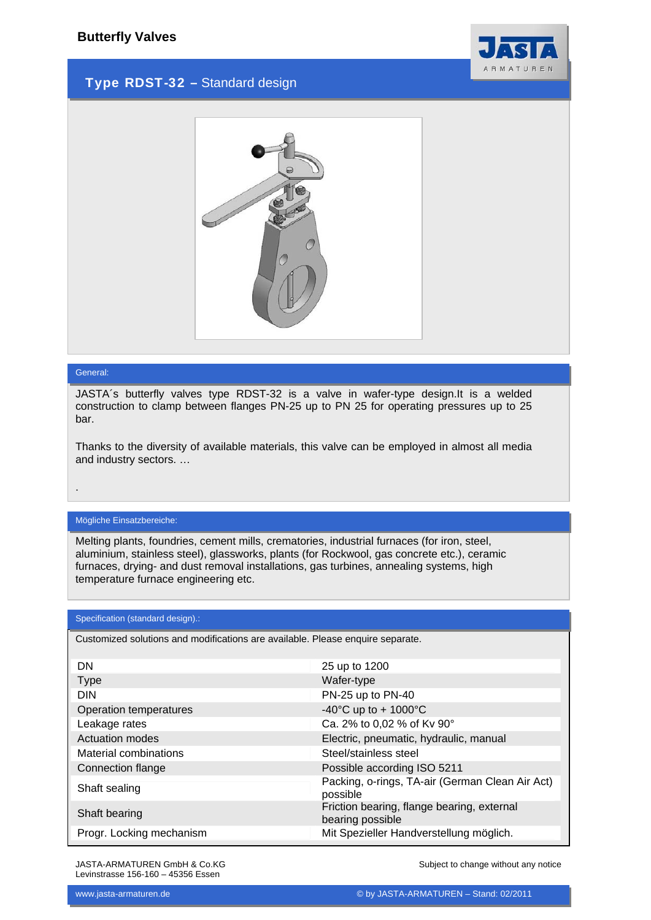

## Type RDST-32 – Standard design



#### General:

.

JASTA´s butterfly valves type RDST-32 is a valve in wafer-type design.It is a welded construction to clamp between flanges PN-25 up to PN 25 for operating pressures up to 25 bar.

Thanks to the diversity of available materials, this valve can be employed in almost all media and industry sectors. …

### Mögliche Einsatzbereiche:

Melting plants, foundries, cement mills, crematories, industrial furnaces (for iron, steel, aluminium, stainless steel), glassworks, plants (for Rockwool, gas concrete etc.), ceramic furnaces, drying- and dust removal installations, gas turbines, annealing systems, high temperature furnace engineering etc.

#### Specification (standard design).:

Customized solutions and modifications are available. Please enquire separate.

| DN                       | 25 up to 1200                                                  |
|--------------------------|----------------------------------------------------------------|
| <b>Type</b>              | Wafer-type                                                     |
| <b>DIN</b>               | PN-25 up to PN-40                                              |
| Operation temperatures   | -40°C up to + 1000°C                                           |
| Leakage rates            | Ca. 2% to 0,02 % of Kv 90°                                     |
| Actuation modes          | Electric, pneumatic, hydraulic, manual                         |
| Material combinations    | Steel/stainless steel                                          |
| Connection flange        | Possible according ISO 5211                                    |
| Shaft sealing            | Packing, o-rings, TA-air (German Clean Air Act)<br>possible    |
| Shaft bearing            | Friction bearing, flange bearing, external<br>bearing possible |
| Progr. Locking mechanism | Mit Spezieller Handverstellung möglich.                        |

JASTA-ARMATUREN GmbH & Co.KG Levinstrasse 156-160 – 45356 Essen

Subject to change without any notice